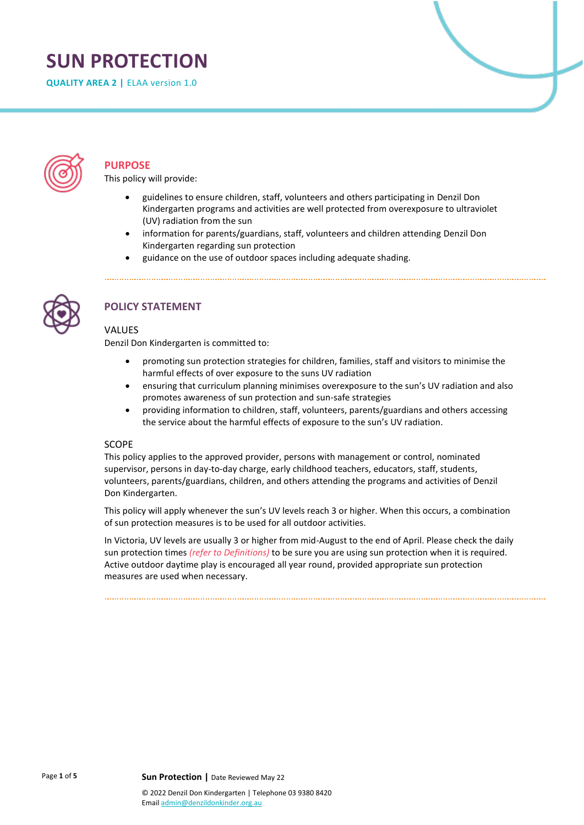# **SUN PROTECTION**

**QUALITY AREA 2 |** ELAA version 1.0



# **PURPOSE**

This policy will provide:

- guidelines to ensure children, staff, volunteers and others participating in Denzil Don Kindergarten programs and activities are well protected from overexposure to ultraviolet (UV) radiation from the sun
- information for parents/guardians, staff, volunteers and children attending Denzil Don Kindergarten regarding sun protection
- guidance on the use of outdoor spaces including adequate shading.



# **POLICY STATEMENT**

### **VALUES**

Denzil Don Kindergarten is committed to:

- promoting sun protection strategies for children, families, staff and visitors to minimise the harmful effects of over exposure to the suns UV radiation
- ensuring that curriculum planning minimises overexposure to the sun's UV radiation and also promotes awareness of sun protection and sun-safe strategies
- providing information to children, staff, volunteers, parents/guardians and others accessing the service about the harmful effects of exposure to the sun's UV radiation.

### SCOPE

This policy applies to the approved provider, persons with management or control, nominated supervisor, persons in day-to-day charge, early childhood teachers, educators, staff, students, volunteers, parents/guardians, children, and others attending the programs and activities of Denzil Don Kindergarten.

This policy will apply whenever the sun's UV levels reach 3 or higher. When this occurs, a combination of sun protection measures is to be used for all outdoor activities.

In Victoria, UV levels are usually 3 or higher from mid-August to the end of April. Please check the daily sun protection times *(refer to Definitions)* to be sure you are using sun protection when it is required. Active outdoor daytime play is encouraged all year round, provided appropriate sun protection measures are used when necessary.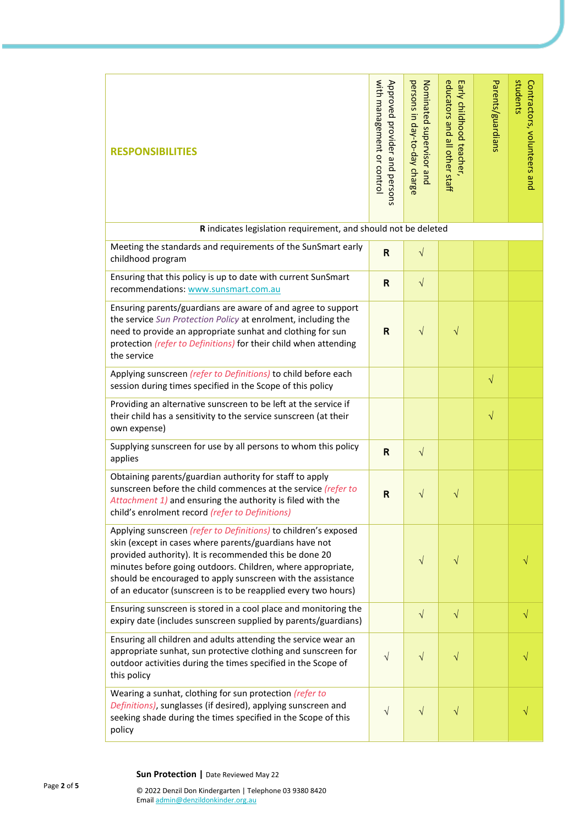| <b>RESPONSIBILITIES</b>                                                                                                                                                                                                                                                                                                                                                            | with management or control<br>Approved provider and persons | persons in day-to-day charge<br>Nominated supervisor and | educators and all other staff<br>Early childhood teacher, | Parents/guardians | students<br>Contractors, volunteers and |  |  |  |
|------------------------------------------------------------------------------------------------------------------------------------------------------------------------------------------------------------------------------------------------------------------------------------------------------------------------------------------------------------------------------------|-------------------------------------------------------------|----------------------------------------------------------|-----------------------------------------------------------|-------------------|-----------------------------------------|--|--|--|
| R indicates legislation requirement, and should not be deleted                                                                                                                                                                                                                                                                                                                     |                                                             |                                                          |                                                           |                   |                                         |  |  |  |
| Meeting the standards and requirements of the SunSmart early<br>childhood program                                                                                                                                                                                                                                                                                                  | $\overline{\mathsf{R}}$                                     | $\sqrt{}$                                                |                                                           |                   |                                         |  |  |  |
| Ensuring that this policy is up to date with current SunSmart<br>recommendations: www.sunsmart.com.au                                                                                                                                                                                                                                                                              | $\mathsf{R}$                                                | $\sqrt{}$                                                |                                                           |                   |                                         |  |  |  |
| Ensuring parents/guardians are aware of and agree to support<br>the service Sun Protection Policy at enrolment, including the<br>need to provide an appropriate sunhat and clothing for sun<br>protection (refer to Definitions) for their child when attending<br>the service                                                                                                     | R                                                           | $\sqrt{}$                                                | $\sqrt{}$                                                 |                   |                                         |  |  |  |
| Applying sunscreen (refer to Definitions) to child before each<br>session during times specified in the Scope of this policy                                                                                                                                                                                                                                                       |                                                             |                                                          |                                                           | $\sqrt{}$         |                                         |  |  |  |
| Providing an alternative sunscreen to be left at the service if<br>their child has a sensitivity to the service sunscreen (at their<br>own expense)                                                                                                                                                                                                                                |                                                             |                                                          |                                                           | $\sqrt{}$         |                                         |  |  |  |
| Supplying sunscreen for use by all persons to whom this policy<br>applies                                                                                                                                                                                                                                                                                                          | R                                                           | $\sqrt{}$                                                |                                                           |                   |                                         |  |  |  |
| Obtaining parents/guardian authority for staff to apply<br>sunscreen before the child commences at the service (refer to<br>Attachment 1) and ensuring the authority is filed with the<br>child's enrolment record (refer to Definitions)                                                                                                                                          | $\mathsf{R}$                                                | $\sqrt{}$                                                | V                                                         |                   |                                         |  |  |  |
| Applying sunscreen (refer to Definitions) to children's exposed<br>skin (except in cases where parents/guardians have not<br>provided authority). It is recommended this be done 20<br>minutes before going outdoors. Children, where appropriate,<br>should be encouraged to apply sunscreen with the assistance<br>of an educator (sunscreen is to be reapplied every two hours) |                                                             | $\sqrt{}$                                                | V                                                         |                   |                                         |  |  |  |
| Ensuring sunscreen is stored in a cool place and monitoring the<br>expiry date (includes sunscreen supplied by parents/guardians)                                                                                                                                                                                                                                                  |                                                             | $\sqrt{}$                                                | $\sqrt{}$                                                 |                   | $\sqrt{}$                               |  |  |  |
| Ensuring all children and adults attending the service wear an<br>appropriate sunhat, sun protective clothing and sunscreen for<br>outdoor activities during the times specified in the Scope of<br>this policy                                                                                                                                                                    | $\sqrt{}$                                                   | $\sqrt{}$                                                | $\sqrt{}$                                                 |                   |                                         |  |  |  |
| Wearing a sunhat, clothing for sun protection (refer to<br>Definitions), sunglasses (if desired), applying sunscreen and<br>seeking shade during the times specified in the Scope of this<br>policy                                                                                                                                                                                | $\sqrt{}$                                                   | $\sqrt{}$                                                | $\sqrt{}$                                                 |                   |                                         |  |  |  |

**Sun Protection |** Date Reviewed May 22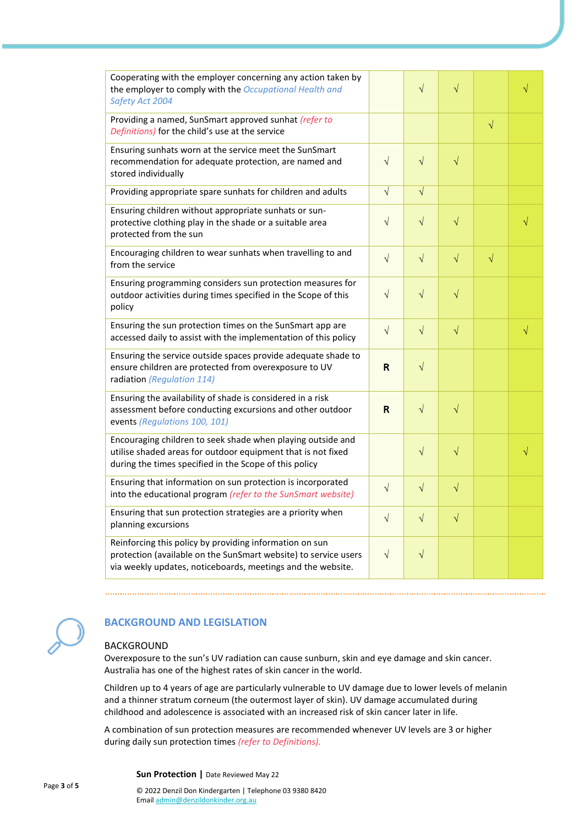| Cooperating with the employer concerning any action taken by<br>the employer to comply with the Occupational Health and<br>Safety Act 2004                                                |           | $\sqrt{}$  | $\sqrt{}$ |           | $\sqrt{}$ |
|-------------------------------------------------------------------------------------------------------------------------------------------------------------------------------------------|-----------|------------|-----------|-----------|-----------|
| Providing a named, SunSmart approved sunhat (refer to<br>Definitions) for the child's use at the service                                                                                  |           |            |           | $\sqrt{}$ |           |
| Ensuring sunhats worn at the service meet the SunSmart<br>recommendation for adequate protection, are named and<br>stored individually                                                    | $\sqrt{}$ | $\sqrt{}$  | $\sqrt{}$ |           |           |
| Providing appropriate spare sunhats for children and adults                                                                                                                               | $\sqrt{}$ | $\sqrt{}$  |           |           |           |
| Ensuring children without appropriate sunhats or sun-<br>protective clothing play in the shade or a suitable area<br>protected from the sun                                               | $\sqrt{}$ | $\sqrt{}$  | $\sqrt{}$ |           | $\sqrt{}$ |
| Encouraging children to wear sunhats when travelling to and<br>from the service                                                                                                           | $\sqrt{}$ | $\sqrt{}$  | $\sqrt{}$ | $\sqrt{}$ |           |
| Ensuring programming considers sun protection measures for<br>outdoor activities during times specified in the Scope of this<br>policy                                                    | $\sqrt{}$ | $\sqrt{}$  | $\sqrt{}$ |           |           |
| Ensuring the sun protection times on the SunSmart app are<br>accessed daily to assist with the implementation of this policy                                                              | $\sqrt{}$ | $\sqrt{}$  | $\sqrt{}$ |           | $\sqrt{}$ |
| Ensuring the service outside spaces provide adequate shade to<br>ensure children are protected from overexposure to UV<br>radiation (Regulation 114)                                      | R         | $\sqrt{}$  |           |           |           |
| Ensuring the availability of shade is considered in a risk<br>assessment before conducting excursions and other outdoor<br>events (Regulations 100, 101)                                  | R         | $\sqrt{ }$ | $\sqrt{}$ |           |           |
| Encouraging children to seek shade when playing outside and<br>utilise shaded areas for outdoor equipment that is not fixed<br>during the times specified in the Scope of this policy     |           | $\sqrt{}$  | $\sqrt{}$ |           | $\sqrt{}$ |
| Ensuring that information on sun protection is incorporated<br>into the educational program (refer to the SunSmart website)                                                               | $\sqrt{}$ | $\sqrt{}$  | $\sqrt{}$ |           |           |
| Ensuring that sun protection strategies are a priority when<br>planning excursions                                                                                                        | $\sqrt{}$ | $\sqrt{ }$ | $\sqrt{}$ |           |           |
| Reinforcing this policy by providing information on sun<br>protection (available on the SunSmart website) to service users<br>via weekly updates, noticeboards, meetings and the website. | $\sqrt{}$ | $\sqrt{}$  |           |           |           |



# **BACKGROUND AND LEGISLATION**

# BACKGROUND

Overexposure to the sun's UV radiation can cause sunburn, skin and eye damage and skin cancer. Australia has one of the highest rates of skin cancer in the world.

Children up to 4 years of age are particularly vulnerable to UV damage due to lower levels of melanin and a thinner stratum corneum (the outermost layer of skin). UV damage accumulated during childhood and adolescence is associated with an increased risk of skin cancer later in life.

A combination of sun protection measures are recommended whenever UV levels are 3 or higher during daily sun protection times *(refer to Definitions).*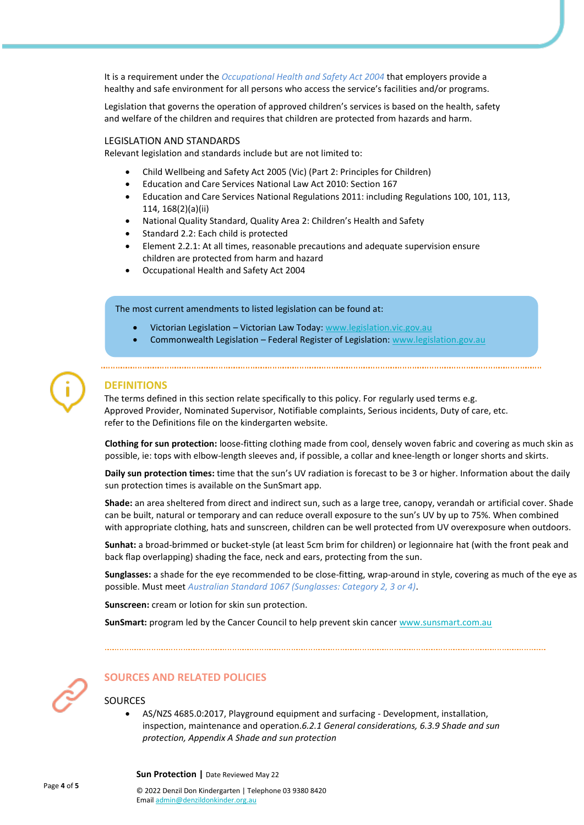It is a requirement under the *Occupational Health and Safety Act 2004* that employers provide a healthy and safe environment for all persons who access the service's facilities and/or programs.

Legislation that governs the operation of approved children's services is based on the health, safety and welfare of the children and requires that children are protected from hazards and harm.

### LEGISLATION AND STANDARDS

Relevant legislation and standards include but are not limited to:

- Child Wellbeing and Safety Act 2005 (Vic) (Part 2: Principles for Children)
- Education and Care Services National Law Act 2010: Section 167
- Education and Care Services National Regulations 2011: including Regulations 100, 101, 113, 114, 168(2)(a)(ii)
- National Quality Standard, Quality Area 2: Children's Health and Safety
- Standard 2.2: Each child is protected
- Element 2.2.1: At all times, reasonable precautions and adequate supervision ensure children are protected from harm and hazard
- Occupational Health and Safety Act 2004

### The most current amendments to listed legislation can be found at:

- Victorian Legislation Victorian Law Today: [www.legislation.vic.gov.au](http://www.legislation.vic.gov.au/)
- Commonwealth Legislation Federal Register of Legislation: [www.legislation.gov.au](http://www.legislation.gov.au/)

# **DEFINITIONS**

The terms defined in this section relate specifically to this policy. For regularly used terms e.g. Approved Provider, Nominated Supervisor, Notifiable complaints, Serious incidents, Duty of care, etc. refer to the Definitions file on the kindergarten website.

**Clothing for sun protection:** loose-fitting clothing made from cool, densely woven fabric and covering as much skin as possible, ie: tops with elbow-length sleeves and, if possible, a collar and knee-length or longer shorts and skirts.

**Daily sun protection times:** time that the sun's UV radiation is forecast to be 3 or higher. Information about the daily sun protection times is available on the SunSmart app.

**Shade:** an area sheltered from direct and indirect sun, such as a large tree, canopy, verandah or artificial cover. Shade can be built, natural or temporary and can reduce overall exposure to the sun's UV by up to 75%. When combined with appropriate clothing, hats and sunscreen, children can be well protected from UV overexposure when outdoors.

**Sunhat:** a broad-brimmed or bucket-style (at least 5cm brim for children) or legionnaire hat (with the front peak and back flap overlapping) shading the face, neck and ears, protecting from the sun.

**Sunglasses:** a shade for the eye recommended to be close-fitting, wrap-around in style, covering as much of the eye as possible. Must meet *Australian Standard 1067 (Sunglasses: Category 2, 3 or 4)*.

**Sunscreen:** cream or lotion for skin sun protection.

**SunSmart:** program led by the Cancer Council to help prevent skin cancer [www.sunsmart.com.au](http://www.sunsmart.com.au/)



# **SOURCES AND RELATED POLICIES**

# SOURCES

• AS/NZS 4685.0:2017, Playground equipment and surfacing - Development, installation, inspection, maintenance and operation.*6.2.1 General considerations, 6.3.9 Shade and sun protection, Appendix A Shade and sun protection*

**Sun Protection |** Date Reviewed May 22